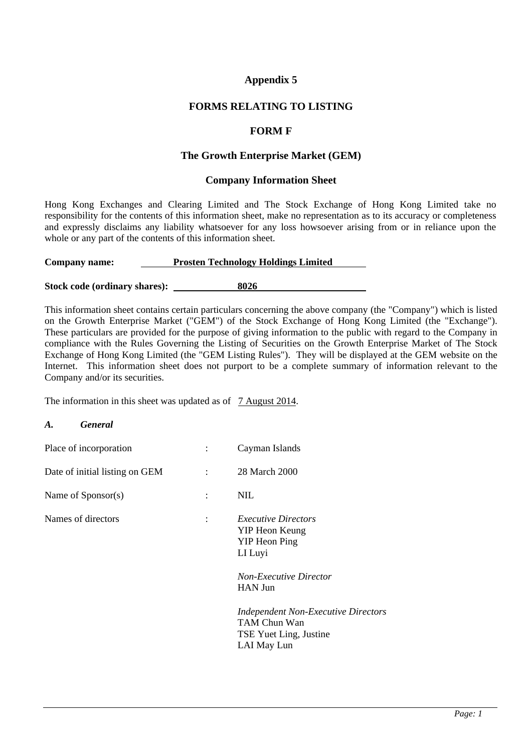# **Appendix 5**

### **FORMS RELATING TO LISTING**

### **FORM F**

### **The Growth Enterprise Market (GEM)**

#### **Company Information Sheet**

Hong Kong Exchanges and Clearing Limited and The Stock Exchange of Hong Kong Limited take no responsibility for the contents of this information sheet, make no representation as to its accuracy or completeness and expressly disclaims any liability whatsoever for any loss howsoever arising from or in reliance upon the whole or any part of the contents of this information sheet.

#### **Company name: Prosten Technology Holdings Limited**

**Stock code (ordinary shares): \_ 8026** 

This information sheet contains certain particulars concerning the above company (the "Company") which is listed on the Growth Enterprise Market ("GEM") of the Stock Exchange of Hong Kong Limited (the "Exchange"). These particulars are provided for the purpose of giving information to the public with regard to the Company in compliance with the Rules Governing the Listing of Securities on the Growth Enterprise Market of The Stock Exchange of Hong Kong Limited (the "GEM Listing Rules"). They will be displayed at the GEM website on the Internet. This information sheet does not purport to be a complete summary of information relevant to the Company and/or its securities.

The information in this sheet was updated as of 7 August 2014.

#### *A. General*

| Place of incorporation         | $\ddot{\cdot}$ | Cayman Islands                                                                                                                     |
|--------------------------------|----------------|------------------------------------------------------------------------------------------------------------------------------------|
| Date of initial listing on GEM | $\ddot{\cdot}$ | 28 March 2000                                                                                                                      |
| Name of Sponsor(s)             | $\ddot{\cdot}$ | <b>NIL</b>                                                                                                                         |
| Names of directors             | $\ddot{\cdot}$ | <i>Executive Directors</i><br>YIP Heon Keung<br><b>YIP</b> Heon Ping<br>LI Luyi<br><b>Non-Executive Director</b><br><b>HAN Jun</b> |
|                                |                | <b>Independent Non-Executive Directors</b><br>TAM Chun Wan<br>TSE Yuet Ling, Justine<br>LAI May Lun                                |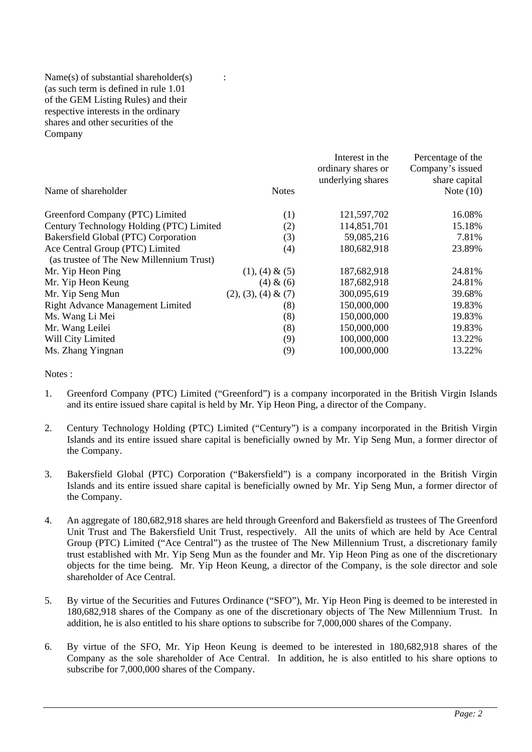### Name(s) of substantial shareholder(s)  $\cdot$  : (as such term is defined in rule 1.01 of the GEM Listing Rules) and their respective interests in the ordinary shares and other securities of the Company

| Name of shareholder                                                         | <b>Notes</b>           | Interest in the<br>ordinary shares or<br>underlying shares | Percentage of the<br>Company's issued<br>share capital<br>Note $(10)$ |
|-----------------------------------------------------------------------------|------------------------|------------------------------------------------------------|-----------------------------------------------------------------------|
| Greenford Company (PTC) Limited                                             | (1)                    | 121,597,702                                                | 16.08%                                                                |
| Century Technology Holding (PTC) Limited                                    | (2)                    | 114,851,701                                                | 15.18%                                                                |
| Bakersfield Global (PTC) Corporation                                        | (3)                    | 59,085,216                                                 | 7.81%                                                                 |
| Ace Central Group (PTC) Limited<br>(as trustee of The New Millennium Trust) | (4)                    | 180,682,918                                                | 23.89%                                                                |
| Mr. Yip Heon Ping                                                           | $(1), (4) \& (5)$      | 187,682,918                                                | 24.81%                                                                |
| Mr. Yip Heon Keung                                                          | (4) & (6)              | 187,682,918                                                | 24.81%                                                                |
| Mr. Yip Seng Mun                                                            | $(2), (3), (4) \& (7)$ | 300,095,619                                                | 39.68%                                                                |
| <b>Right Advance Management Limited</b>                                     | (8)                    | 150,000,000                                                | 19.83%                                                                |
| Ms. Wang Li Mei                                                             | (8)                    | 150,000,000                                                | 19.83%                                                                |
| Mr. Wang Leilei                                                             | (8)                    | 150,000,000                                                | 19.83%                                                                |
| Will City Limited                                                           | (9)                    | 100,000,000                                                | 13.22%                                                                |
| Ms. Zhang Yingnan                                                           | (9)                    | 100,000,000                                                | 13.22%                                                                |

#### Notes :

- 1. Greenford Company (PTC) Limited ("Greenford") is a company incorporated in the British Virgin Islands and its entire issued share capital is held by Mr. Yip Heon Ping, a director of the Company.
- 2. Century Technology Holding (PTC) Limited ("Century") is a company incorporated in the British Virgin Islands and its entire issued share capital is beneficially owned by Mr. Yip Seng Mun, a former director of the Company.
- 3. Bakersfield Global (PTC) Corporation ("Bakersfield") is a company incorporated in the British Virgin Islands and its entire issued share capital is beneficially owned by Mr. Yip Seng Mun, a former director of the Company.
- 4. An aggregate of 180,682,918 shares are held through Greenford and Bakersfield as trustees of The Greenford Unit Trust and The Bakersfield Unit Trust, respectively. All the units of which are held by Ace Central Group (PTC) Limited ("Ace Central") as the trustee of The New Millennium Trust, a discretionary family trust established with Mr. Yip Seng Mun as the founder and Mr. Yip Heon Ping as one of the discretionary objects for the time being. Mr. Yip Heon Keung, a director of the Company, is the sole director and sole shareholder of Ace Central.
- 5. By virtue of the Securities and Futures Ordinance ("SFO"), Mr. Yip Heon Ping is deemed to be interested in 180,682,918 shares of the Company as one of the discretionary objects of The New Millennium Trust. In addition, he is also entitled to his share options to subscribe for 7,000,000 shares of the Company.
- 6. By virtue of the SFO, Mr. Yip Heon Keung is deemed to be interested in 180,682,918 shares of the Company as the sole shareholder of Ace Central. In addition, he is also entitled to his share options to subscribe for 7,000,000 shares of the Company.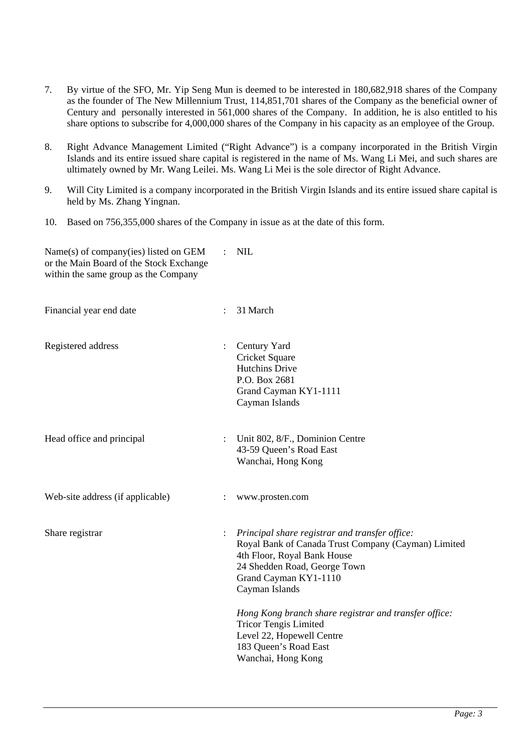- 7. By virtue of the SFO, Mr. Yip Seng Mun is deemed to be interested in 180,682,918 shares of the Company as the founder of The New Millennium Trust, 114,851,701 shares of the Company as the beneficial owner of Century and personally interested in 561,000 shares of the Company. In addition, he is also entitled to his share options to subscribe for 4,000,000 shares of the Company in his capacity as an employee of the Group.
- 8. Right Advance Management Limited ("Right Advance") is a company incorporated in the British Virgin Islands and its entire issued share capital is registered in the name of Ms. Wang Li Mei, and such shares are ultimately owned by Mr. Wang Leilei. Ms. Wang Li Mei is the sole director of Right Advance.
- 9. Will City Limited is a company incorporated in the British Virgin Islands and its entire issued share capital is held by Ms. Zhang Yingnan.
- 10. Based on 756,355,000 shares of the Company in issue as at the date of this form.

| Name(s) of company(ies) listed on GEM<br>or the Main Board of the Stock Exchange<br>within the same group as the Company |                      | <b>NIL</b>                                                                                                                                                                                                      |
|--------------------------------------------------------------------------------------------------------------------------|----------------------|-----------------------------------------------------------------------------------------------------------------------------------------------------------------------------------------------------------------|
| Financial year end date                                                                                                  | $\ddot{\phantom{a}}$ | 31 March                                                                                                                                                                                                        |
| Registered address                                                                                                       |                      | Century Yard<br>Cricket Square<br><b>Hutchins Drive</b><br>P.O. Box 2681<br>Grand Cayman KY1-1111<br>Cayman Islands                                                                                             |
| Head office and principal                                                                                                |                      | Unit 802, 8/F., Dominion Centre<br>43-59 Queen's Road East<br>Wanchai, Hong Kong                                                                                                                                |
| Web-site address (if applicable)                                                                                         |                      | www.prosten.com                                                                                                                                                                                                 |
| Share registrar                                                                                                          |                      | Principal share registrar and transfer office:<br>Royal Bank of Canada Trust Company (Cayman) Limited<br>4th Floor, Royal Bank House<br>24 Shedden Road, George Town<br>Grand Cayman KY1-1110<br>Cayman Islands |
|                                                                                                                          |                      | Hong Kong branch share registrar and transfer office:<br><b>Tricor Tengis Limited</b><br>Level 22, Hopewell Centre<br>183 Queen's Road East<br>Wanchai, Hong Kong                                               |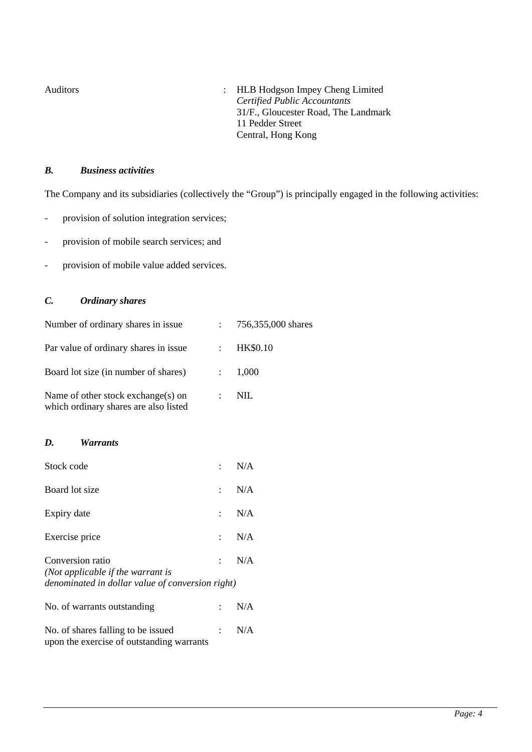Auditors : HLB Hodgson Impey Cheng Limited *Certified Public Accountants*  31/F., Gloucester Road, The Landmark 11 Pedder Street Central, Hong Kong

### *B. Business activities*

The Company and its subsidiaries (collectively the "Group") is principally engaged in the following activities:

- provision of solution integration services;
- provision of mobile search services; and
- provision of mobile value added services.

## *C. Ordinary shares*

| Number of ordinary shares in issue                                          |                      | $: 756,355,000$ shares |
|-----------------------------------------------------------------------------|----------------------|------------------------|
| Par value of ordinary shares in issue                                       |                      | <b>HK\$0.10</b>        |
| Board lot size (in number of shares)                                        |                      | : 1,000                |
| Name of other stock exchange(s) on<br>which ordinary shares are also listed | $\ddot{\phantom{0}}$ | NIL.                   |

#### *D. Warrants*

| Stock code                                                                                                |                             | N/A |
|-----------------------------------------------------------------------------------------------------------|-----------------------------|-----|
| Board lot size                                                                                            | $\bullet$                   | N/A |
| Expiry date                                                                                               | $\mathcal{L}^{\text{max}}$  | N/A |
| Exercise price                                                                                            | $\mathcal{L} = \mathcal{L}$ | N/A |
| Conversion ratio<br>(Not applicable if the warrant is<br>denominated in dollar value of conversion right) | $\mathcal{L}$               | N/A |
| No. of warrants outstanding                                                                               |                             | N/A |
| No. of shares falling to be issued<br>upon the exercise of outstanding warrants                           | $\mathbb{R}^{\mathbb{Z}}$   | N/A |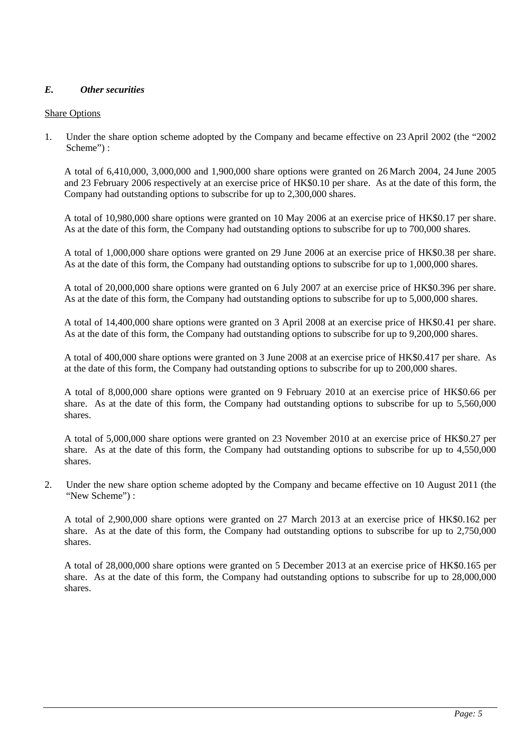## *E. Other securities*

## Share Options

1. Under the share option scheme adopted by the Company and became effective on 23 April 2002 (the "2002 Scheme") :

A total of 6,410,000, 3,000,000 and 1,900,000 share options were granted on 26 March 2004, 24 June 2005 and 23 February 2006 respectively at an exercise price of HK\$0.10 per share. As at the date of this form, the Company had outstanding options to subscribe for up to 2,300,000 shares.

A total of 10,980,000 share options were granted on 10 May 2006 at an exercise price of HK\$0.17 per share. As at the date of this form, the Company had outstanding options to subscribe for up to 700,000 shares.

A total of 1,000,000 share options were granted on 29 June 2006 at an exercise price of HK\$0.38 per share. As at the date of this form, the Company had outstanding options to subscribe for up to 1,000,000 shares.

A total of 20,000,000 share options were granted on 6 July 2007 at an exercise price of HK\$0.396 per share. As at the date of this form, the Company had outstanding options to subscribe for up to 5,000,000 shares.

A total of 14,400,000 share options were granted on 3 April 2008 at an exercise price of HK\$0.41 per share. As at the date of this form, the Company had outstanding options to subscribe for up to 9,200,000 shares.

A total of 400,000 share options were granted on 3 June 2008 at an exercise price of HK\$0.417 per share. As at the date of this form, the Company had outstanding options to subscribe for up to 200,000 shares.

A total of 8,000,000 share options were granted on 9 February 2010 at an exercise price of HK\$0.66 per share. As at the date of this form, the Company had outstanding options to subscribe for up to 5,560,000 shares.

A total of 5,000,000 share options were granted on 23 November 2010 at an exercise price of HK\$0.27 per share. As at the date of this form, the Company had outstanding options to subscribe for up to 4,550,000 shares.

2. Under the new share option scheme adopted by the Company and became effective on 10 August 2011 (the "New Scheme") :

A total of 2,900,000 share options were granted on 27 March 2013 at an exercise price of HK\$0.162 per share. As at the date of this form, the Company had outstanding options to subscribe for up to 2,750,000 shares.

A total of 28,000,000 share options were granted on 5 December 2013 at an exercise price of HK\$0.165 per share. As at the date of this form, the Company had outstanding options to subscribe for up to 28,000,000 shares.